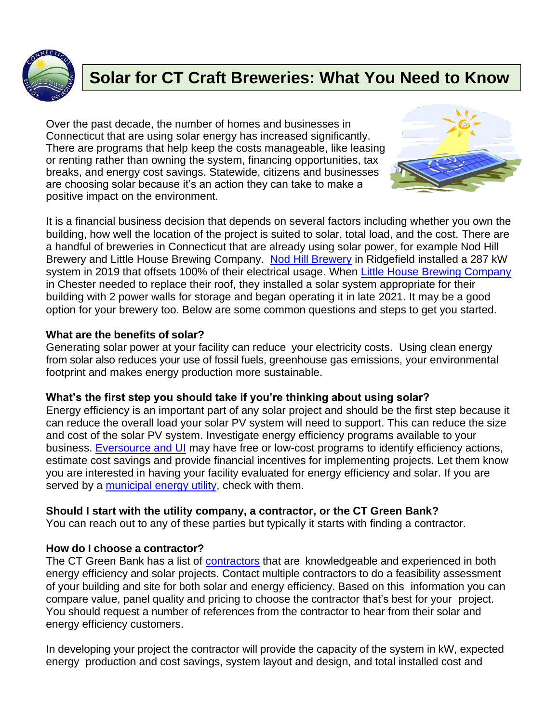

# **Solar for CT Craft Breweries: What You Need to Know**

Over the past decade, the number of homes and businesses in Connecticut that are using solar energy has increased significantly. There are programs that help keep the costs manageable, like leasing or renting rather than owning the system, financing opportunities, tax breaks, and energy cost savings. Statewide, citizens and businesses are choosing solar because it's an action they can take to make a positive impact on the environment.



It is a financial business decision that depends on several factors including whether you own the building, how well the location of the project is suited to solar, total load, and the cost. There are a handful of breweries in Connecticut that are already using solar power, for example Nod Hill Brewery and Little House Brewing Company. [Nod Hill Brewery](https://www.nodhillbrewery.com/sustainability) in Ridgefield installed a 287 kW system in 2019 that offsets 100% of their electrical usage. When [Little House Brewing Company](https://www.littlehousebrewing.com/) in Chester needed to replace their roof, they installed a solar system appropriate for their building with 2 power walls for storage and began operating it in late 2021. It may be a good option for your brewery too. Below are some common questions and steps to get you started.

## **What are the benefits of solar?**

Generating solar power at your facility can reduce your electricity costs. Using clean energy from solar also reduces your use of fossil fuels, greenhouse gas emissions, your environmental footprint and makes energy production more sustainable.

### **What's the first step you should take if you're thinking about using solar?**

Energy efficiency is an important part of any solar project and should be the first step because it can reduce the overall load your solar PV system will need to support. This can reduce the size and cost of the solar PV system. [Investigate energy efficiency programs available to your](https://energizect.com/your-business)  business. [Eversource and UI](https://energizect.com/your-business) may have free or low-cost programs to identify efficiency actions, estimate cost savings and provide financial incentives for implementing projects. Let them know you are interested in having your facility evaluated for energy efficiency and solar. If you are served by a [municipal energy utility,](https://portal.ct.gov/PURA/Consumer-Services/Electric-Distribution-Companies) check with them.

### **Should I start with the utility company, a contractor, or the CT Green Bank?**

You can reach out to any of these parties but typically it starts with finding a contractor.

## **How do I choose a contractor?**

The CT Green Bank has a list of [contractors](https://www.cpace.com/building-owner/get-started/find-a-contractor/) that are knowledgeable and experienced in both energy efficiency and solar projects. Contact multiple contractors to do a feasibility assessment of your building and site for both solar and energy efficiency. Based on this information you can compare value, panel quality and pricing to choose the contractor that's best for your project. You should request a number of references from the contractor to hear from their solar and energy efficiency customers.

In developing your project the contractor will provide the capacity of the system in kW, expected energy production and cost savings, system layout and design, and total installed cost and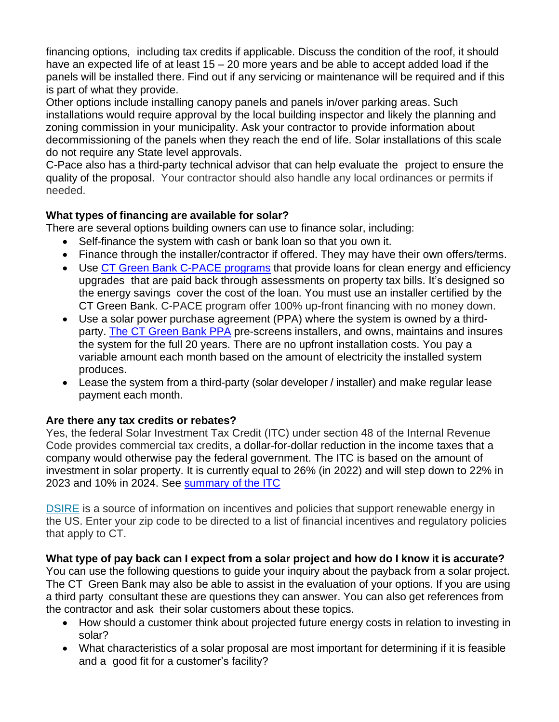financing options, including tax credits if applicable. Discuss the condition of the roof, it should have an expected life of at least 15 – 20 more years and be able to accept added load if the panels will be installed there. Find out if any servicing or maintenance will be required and if this is part of what they provide.

Other options include installing canopy panels and panels in/over parking areas. Such installations would require approval by the local building inspector and likely the planning and zoning commission in your municipality. Ask your contractor to provide information about decommissioning of the panels when they reach the end of life. Solar installations of this scale do not require any State level approvals.

C-Pace also has a third-party technical advisor that can help evaluate the project to ensure the quality of the proposal. Your contractor should also handle any local ordinances or permits if needed.

## **What types of financing are available for solar?**

There are several options building owners can use to finance solar, including:

- Self-finance the system with cash or bank loan so that you own it.
- Finance through the installer/contractor if offered. They may have their own offers/terms.
- Use CT Green Bank C-PACE [programs](https://www.cpace.com/building-owner/what-is-c-pace/) that provide loans for clean energy and efficiency upgrades that are paid back through assessments on property tax bills. It's designed so the energy savings cover the cost of the loan. You must use an installer certified by the CT Green Bank. C-PACE program offer 100% up-front financing with no money down.
- Use a solar power purchase agreement (PPA) where the system is owned by a third-party. The CT [Green](https://www.cpace.com/building-owner/what-is-c-pace/green-bank-solar-ppa/) Bank PPA pre-screens installers, and owns, maintains and insures the system for the full 20 years. There are no upfront installation costs. You pay a variable amount each month based on the amount of electricity the installed system produces.
- Lease the system from a third-party (solar developer / installer) and make regular lease payment each month.

## **Are there any tax credits or rebates?**

Yes, the federal Solar Investment Tax Credit (ITC) under section 48 of the Internal Revenue Code provides commercial tax credits, a dollar-for-dollar reduction in the income taxes that a company would otherwise pay the federal government. The ITC is based on the amount of investment in solar property. It is currently equal to 26% (in 2022) and will step down to 22% in 2023 and 10% in 2024. See [summary of the ITC](https://www.seia.org/sites/default/files/2021-01/SEIA-ITC-Factsheet-2021-Jan.pdf)

[DSIRE](http://www.dsireusa.org/) is a source of information on incentives and policies that support renewable energy in the US. Enter your zip code to be directed to a list of financial incentives and regulatory policies that apply to CT.

What type of pay back can I expect from a solar project and how do I know it is accurate? You can use the following questions to guide your inquiry about the payback from a solar project. The CT Green Bank may also be able to assist in the evaluation of your options. If you are using a third party consultant these are questions they can answer. You can also get references from the contractor and ask their solar customers about these topics.

- How should a customer think about projected future energy costs in relation to investing in solar?
- What characteristics of a solar proposal are most important for determining if it is feasible and a good fit for a customer's facility?